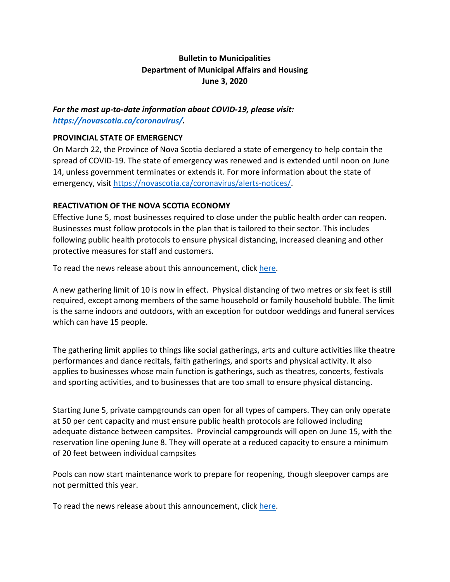# **Bulletin to Municipalities Department of Municipal Affairs and Housing June 3, 2020**

### *For the most up-to-date information about COVID-19, please visit: [https://novascotia.ca/coronavirus/.](https://novascotia.ca/coronavirus/)*

#### **PROVINCIAL STATE OF EMERGENCY**

On March 22, the Province of Nova Scotia declared a state of emergency to help contain the spread of COVID-19. The state of emergency was renewed and is extended until noon on June 14, unless government terminates or extends it. For more information about the state of emergency, visit [https://novascotia.ca/coronavirus/alerts-notices/.](https://novascotia.ca/coronavirus/alerts-notices/)

### **REACTIVATION OF THE NOVA SCOTIA ECONOMY**

Effective June 5, most businesses required to close under the public health order can reopen. Businesses must follow protocols in the plan that is tailored to their sector. This includes following public health protocols to ensure physical distancing, increased cleaning and other protective measures for staff and customers.

To read the news release about this announcement, clic[k here.](https://novascotia.ca/news/release/?id=20200527003)

A new gathering limit of 10 is now in effect. Physical distancing of two metres or six feet is still required, except among members of the same household or family household bubble. The limit is the same indoors and outdoors, with an exception for outdoor weddings and funeral services which can have 15 people.

The gathering limit applies to things like social gatherings, arts and culture activities like theatre performances and dance recitals, faith gatherings, and sports and physical activity. It also applies to businesses whose main function is gatherings, such as theatres, concerts, festivals and sporting activities, and to businesses that are too small to ensure physical distancing.

Starting June 5, private campgrounds can open for all types of campers. They can only operate at 50 per cent capacity and must ensure public health protocols are followed including adequate distance between campsites. Provincial campgrounds will open on June 15, with the reservation line opening June 8. They will operate at a reduced capacity to ensure a minimum of 20 feet between individual campsites

Pools can now start maintenance work to prepare for reopening, though sleepover camps are not permitted this year.

To read the news release about this announcement, clic[k here.](https://novascotia.ca/news/release/?id=20200529006)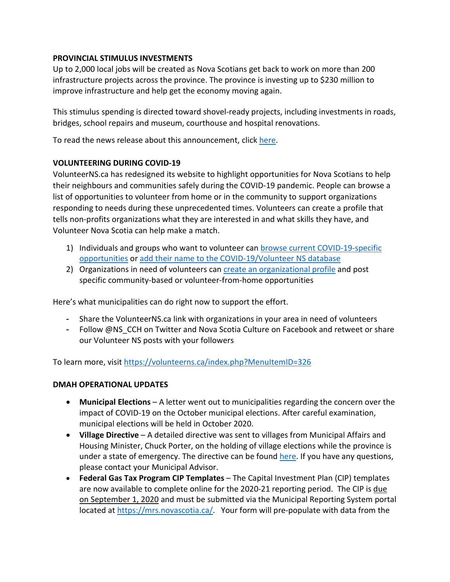### **PROVINCIAL STIMULUS INVESTMENTS**

Up to 2,000 local jobs will be created as Nova Scotians get back to work on more than 200 infrastructure projects across the province. The province is investing up to \$230 million to improve infrastructure and help get the economy moving again.

This stimulus spending is directed toward shovel-ready projects, including investments in roads, bridges, school repairs and museum, courthouse and hospital renovations.

To read the news release about this announcement, clic[k here.](https://novascotia.ca/news/release/?id=20200527005)

#### **VOLUNTEERING DURING COVID-19**

VolunteerNS.ca has redesigned its website to highlight opportunities for Nova Scotians to help their neighbours and communities safely during the COVID-19 pandemic. People can browse a list of opportunities to volunteer from home or in the community to support organizations responding to needs during these unprecedented times. Volunteers can create a profile that tells non-profits organizations what they are interested in and what skills they have, and Volunteer Nova Scotia can help make a match.

- 1) Individuals and groups who want to volunteer can [browse current COVID-19-specific](https://www.volunteerns.ca/index.php?MenuItemID=326)  [opportunities](https://www.volunteerns.ca/index.php?MenuItemID=326) or [add their name to the COVID-19/Volunteer NS database](https://www.volunteerns.ca/AdminEdit.php?ListType=Covid19)
- 2) Organizations in need of volunteers can [create an organizational profile](https://www.volunteerns.ca/AdminEdit.php?ListType=MembershipReg&MenuItemID=328) and post specific community-based or volunteer-from-home opportunities

Here's what municipalities can do right now to support the effort.

- Share the VolunteerNS.ca link with organizations in your area in need of volunteers
- Follow @NS CCH on Twitter and Nova Scotia Culture on Facebook and retweet or share our Volunteer NS posts with your followers

To learn more, visi[t https://volunteerns.ca/index.php?MenuItemID=326](https://volunteerns.ca/index.php?MenuItemID=326)

#### **DMAH OPERATIONAL UPDATES**

- **Municipal Elections**  A letter went out to municipalities regarding the concern over the impact of COVID-19 on the October municipal elections. After careful examination, municipal elections will be held in October 2020.
- **Village Directive** A detailed directive was sent to villages from Municipal Affairs and Housing Minister, Chuck Porter, on the holding of village elections while the province is under a state of emergency. The directive can be found [here.](https://novascotia.ca/coronavirus/docs/Direction-of-the-Minister-original-village-elections-May26.pdf) If you have any questions, please contact your Municipal Advisor.
- **Federal Gas Tax Program CIP Templates**  The Capital Investment Plan (CIP) templates are now available to complete online for the 2020-21 reporting period. The CIP is due on September 1, 2020 and must be submitted via the Municipal Reporting System portal located at [https://mrs.novascotia.ca/.](https://mrs.novascotia.ca/) Your form will pre-populate with data from the